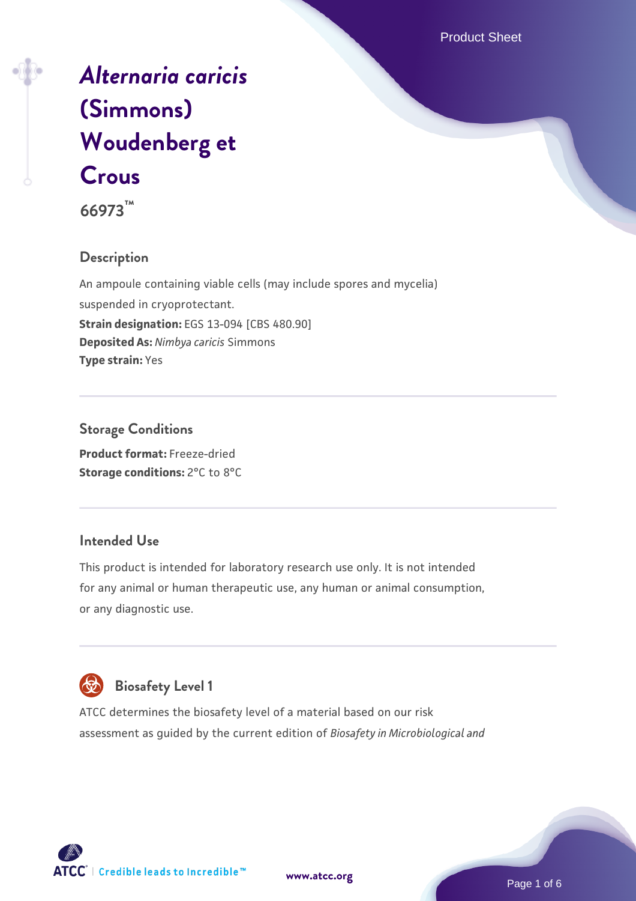Product Sheet

# *[Alternaria caricis](https://www.atcc.org/products/66973)* **[\(Simmons\)](https://www.atcc.org/products/66973) [Woudenberg et](https://www.atcc.org/products/66973) [Crous](https://www.atcc.org/products/66973)**

**66973™**

## **Description**

An ampoule containing viable cells (may include spores and mycelia) suspended in cryoprotectant. **Strain designation:** EGS 13-094 [CBS 480.90] **Deposited As:** *Nimbya caricis* Simmons **Type strain:** Yes

## **Storage Conditions**

**Product format:** Freeze-dried **Storage conditions:** 2°C to 8°C

#### **Intended Use**

This product is intended for laboratory research use only. It is not intended for any animal or human therapeutic use, any human or animal consumption, or any diagnostic use.



# **Biosafety Level 1**

ATCC determines the biosafety level of a material based on our risk assessment as guided by the current edition of *Biosafety in Microbiological and*

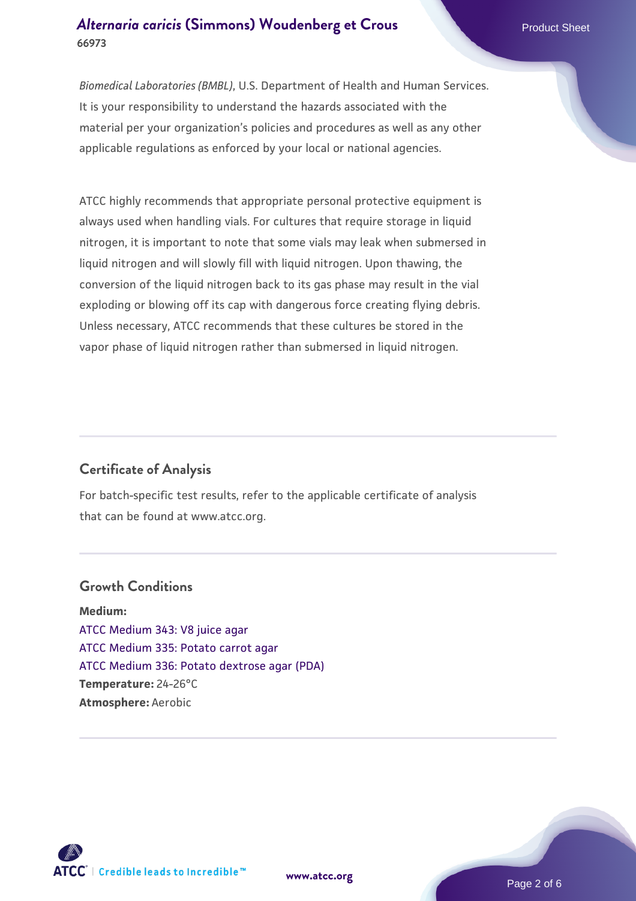*Biomedical Laboratories (BMBL)*, U.S. Department of Health and Human Services. It is your responsibility to understand the hazards associated with the material per your organization's policies and procedures as well as any other applicable regulations as enforced by your local or national agencies.

ATCC highly recommends that appropriate personal protective equipment is always used when handling vials. For cultures that require storage in liquid nitrogen, it is important to note that some vials may leak when submersed in liquid nitrogen and will slowly fill with liquid nitrogen. Upon thawing, the conversion of the liquid nitrogen back to its gas phase may result in the vial exploding or blowing off its cap with dangerous force creating flying debris. Unless necessary, ATCC recommends that these cultures be stored in the vapor phase of liquid nitrogen rather than submersed in liquid nitrogen.

## **Certificate of Analysis**

For batch-specific test results, refer to the applicable certificate of analysis that can be found at www.atcc.org.

#### **Growth Conditions**

**Medium:**  [ATCC Medium 343: V8 juice agar](https://www.atcc.org/-/media/product-assets/documents/microbial-media-formulations/3/4/3/atcc-medium-0343.pdf?rev=fbf48fa24e664932828269db1822ab12) [ATCC Medium 335: Potato carrot agar](https://www.atcc.org/-/media/product-assets/documents/microbial-media-formulations/3/3/5/atcc-medium-335.pdf?rev=a7055ab8b3c54646a9d0bdf7b34c1606) [ATCC Medium 336: Potato dextrose agar \(PDA\)](https://www.atcc.org/-/media/product-assets/documents/microbial-media-formulations/3/3/6/atcc-medium-336.pdf?rev=d9160ad44d934cd8b65175461abbf3b9) **Temperature:** 24-26°C **Atmosphere:** Aerobic

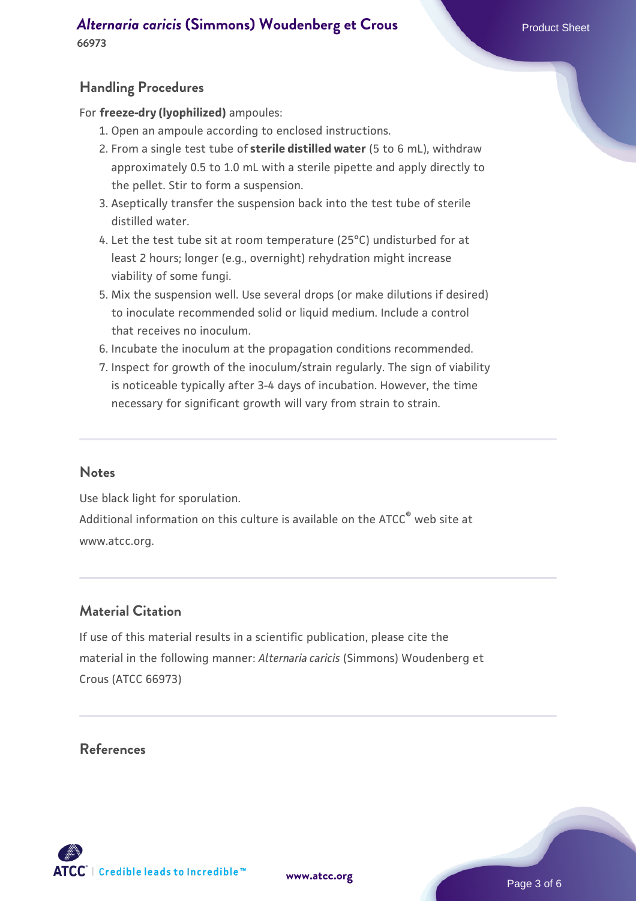## **Handling Procedures**

For **freeze-dry (lyophilized)** ampoules:

- 1. Open an ampoule according to enclosed instructions.
- 2. From a single test tube of **sterile distilled water** (5 to 6 mL), withdraw approximately 0.5 to 1.0 mL with a sterile pipette and apply directly to the pellet. Stir to form a suspension.
- 3. Aseptically transfer the suspension back into the test tube of sterile distilled water.
- 4. Let the test tube sit at room temperature (25°C) undisturbed for at least 2 hours; longer (e.g., overnight) rehydration might increase viability of some fungi.
- Mix the suspension well. Use several drops (or make dilutions if desired) 5. to inoculate recommended solid or liquid medium. Include a control that receives no inoculum.
- 6. Incubate the inoculum at the propagation conditions recommended.
- 7. Inspect for growth of the inoculum/strain regularly. The sign of viability is noticeable typically after 3-4 days of incubation. However, the time necessary for significant growth will vary from strain to strain.

#### **Notes**

Use black light for sporulation. Additional information on this culture is available on the ATCC<sup>®</sup> web site at www.atcc.org.

## **Material Citation**

If use of this material results in a scientific publication, please cite the material in the following manner: *Alternaria caricis* (Simmons) Woudenberg et Crous (ATCC 66973)

## **References**

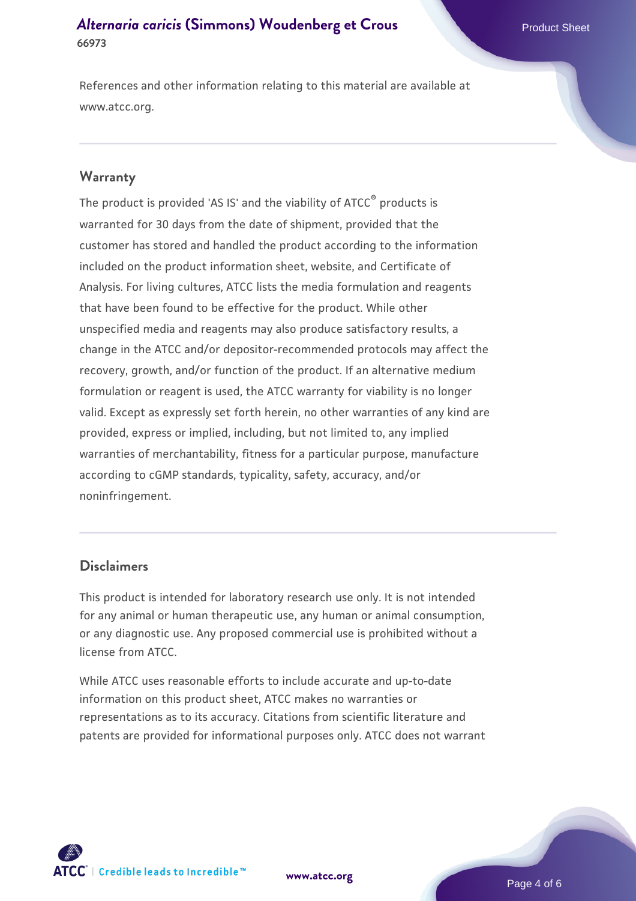References and other information relating to this material are available at www.atcc.org.

#### **Warranty**

The product is provided 'AS IS' and the viability of ATCC® products is warranted for 30 days from the date of shipment, provided that the customer has stored and handled the product according to the information included on the product information sheet, website, and Certificate of Analysis. For living cultures, ATCC lists the media formulation and reagents that have been found to be effective for the product. While other unspecified media and reagents may also produce satisfactory results, a change in the ATCC and/or depositor-recommended protocols may affect the recovery, growth, and/or function of the product. If an alternative medium formulation or reagent is used, the ATCC warranty for viability is no longer valid. Except as expressly set forth herein, no other warranties of any kind are provided, express or implied, including, but not limited to, any implied warranties of merchantability, fitness for a particular purpose, manufacture according to cGMP standards, typicality, safety, accuracy, and/or noninfringement.

#### **Disclaimers**

This product is intended for laboratory research use only. It is not intended for any animal or human therapeutic use, any human or animal consumption, or any diagnostic use. Any proposed commercial use is prohibited without a license from ATCC.

While ATCC uses reasonable efforts to include accurate and up-to-date information on this product sheet, ATCC makes no warranties or representations as to its accuracy. Citations from scientific literature and patents are provided for informational purposes only. ATCC does not warrant



**[www.atcc.org](http://www.atcc.org)**

Page 4 of 6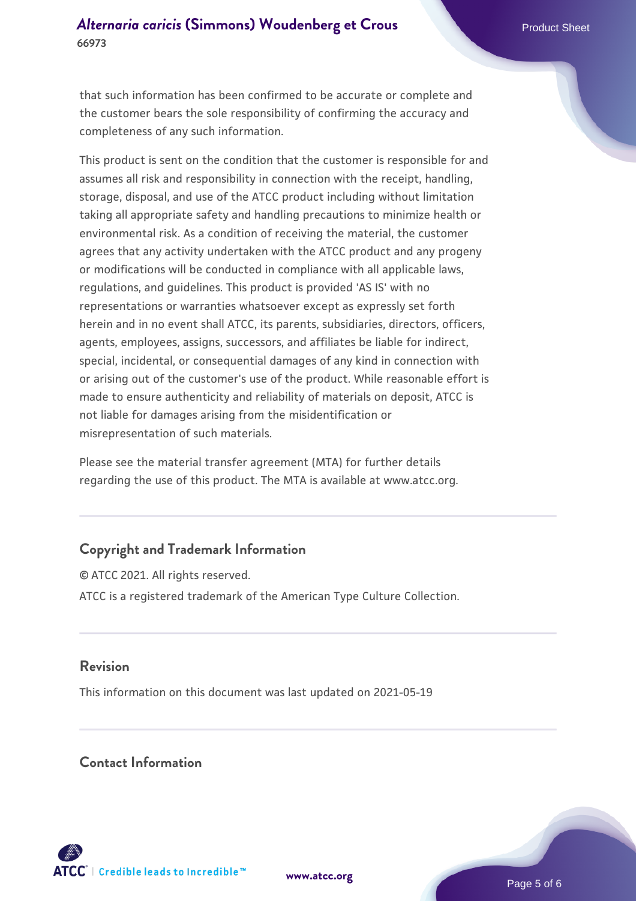that such information has been confirmed to be accurate or complete and the customer bears the sole responsibility of confirming the accuracy and completeness of any such information.

This product is sent on the condition that the customer is responsible for and assumes all risk and responsibility in connection with the receipt, handling, storage, disposal, and use of the ATCC product including without limitation taking all appropriate safety and handling precautions to minimize health or environmental risk. As a condition of receiving the material, the customer agrees that any activity undertaken with the ATCC product and any progeny or modifications will be conducted in compliance with all applicable laws, regulations, and guidelines. This product is provided 'AS IS' with no representations or warranties whatsoever except as expressly set forth herein and in no event shall ATCC, its parents, subsidiaries, directors, officers, agents, employees, assigns, successors, and affiliates be liable for indirect, special, incidental, or consequential damages of any kind in connection with or arising out of the customer's use of the product. While reasonable effort is made to ensure authenticity and reliability of materials on deposit, ATCC is not liable for damages arising from the misidentification or misrepresentation of such materials.

Please see the material transfer agreement (MTA) for further details regarding the use of this product. The MTA is available at www.atcc.org.

## **Copyright and Trademark Information**

© ATCC 2021. All rights reserved. ATCC is a registered trademark of the American Type Culture Collection.

### **Revision**

This information on this document was last updated on 2021-05-19

## **Contact Information**



**[www.atcc.org](http://www.atcc.org)**